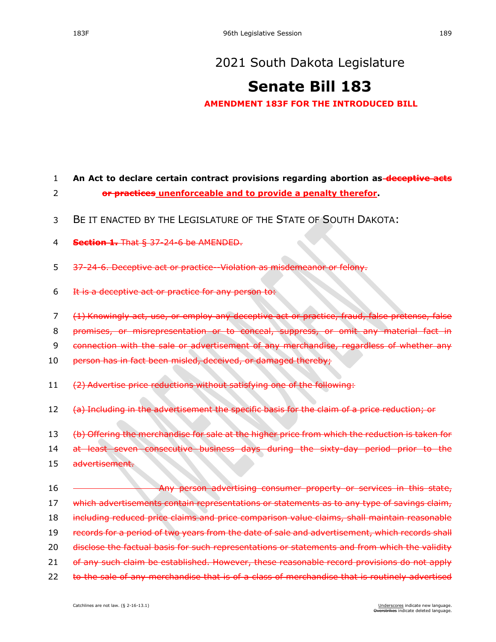## **[Senate Bill 183](https://sdlegislature.gov/Session/Bill/21911)**

**AMENDMENT 183F FOR THE INTRODUCED BILL**

## 1 **An Act to declare certain contract provisions regarding abortion as deceptive acts**  2 **or practices unenforceable and to provide a penalty therefor.**

- 3 BE IT ENACTED BY THE LEGISLATURE OF THE STATE OF SOUTH DAKOTA:
- 4 **Section 1.** That § [37-24-6](https://sdlegislature.gov/Statutes/Codified_Laws/DisplayStatute.aspx?Type=Statute&Statute=37-24-6) be AMENDED.
- 5 [37-24-6.](https://sdlegislature.gov/Statutes/Codified_Laws/DisplayStatute.aspx?Type=Statute&Statute=37-24-6) Deceptive act or practice--Violation as misdemeanor
- 6 It is a deceptive act or practice for any person to:
- 7 (1) Knowingly act, use, or employ any deceptive act or practice, fraud, false pretense, false
- 8 promises, or misrepresentation or to conceal, suppress, or omit any material fact in
- 9 connection with the sale or advertisement of any merchandise, regardless of whether any
- 10 person has in fact been misled, deceived, or damaged thereby;
- 11 (2) Advertise price reductions without satisfying one of the following:
- 12 (a) Including in the advertisement the specific basis for the claim of a price reduction; or

13 (b) Offering the merchandise for sale at the higher price from which the reduction is taken for

14 at least seven consecutive business days during the sixty-day period prior to the

15 advertisement.

16 Any person advertising consumer property or services in this state, 17 which advertisements contain representations or statements as to any type of savings claim, 18 including reduced price claims and price comparison value claims, shall maintain reasonable 19 records for a period of two years from the date of sale and advertisement, which records shall 20 disclose the factual basis for such representations or statements and from which the validity 21 of any such claim be established. However, these reasonable record provisions do not apply 22 to the sale of any merchandise that is of a class of merchandise that is routinely advertised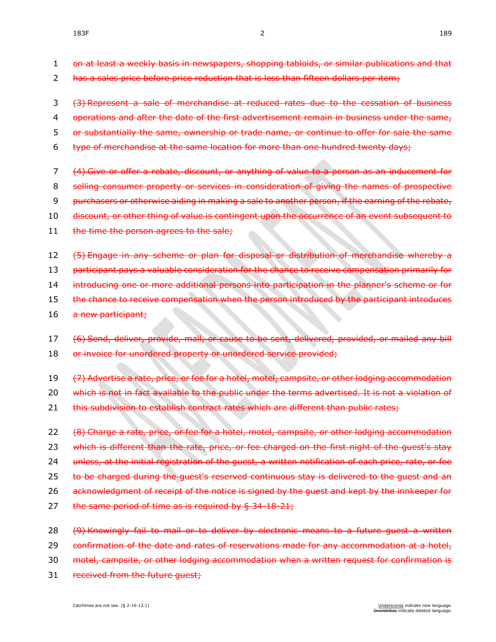- 1 on at least a weekly basis in newspapers, shopping tabloids, or similar publications and that
- 2 has a sales price before price reduction that is less than fifteen dollars per item;
- 3 (3) Represent a sale of merchandise at reduced rates due to the cessation of business
- 4 operations and after the date of the first advertisement remain in business under the same.
- 5 or substantially the same, ownership or trade name, or continue to offer for sale the same
- 6 type of merchandise at the same location for more than one hundred twenty days;
- 7 (4) Give or offer a rebate, discount, or anything of value to a person as an inducement for
- 8 selling consumer property or services in consideration of giving the names of prospective
- 9 purchasers or otherwise aiding in making a sale to another person, if the earning of the rebate,
- 10 discount, or other thing of value is contingent upon the occurrence of an event subsequent to
- 11 the time the person agrees to the sale;
- 12 (5) Engage in any scheme or plan for disposal or distribution of merchandise whereby a
- 13 participant pays a valuable consideration for the chance to receive compensation primarily for
- 14 introducing one or more additional persons into participation in the planner's scheme or for
- 15 the chance to receive compensation when the person introduced by the participant introduces
- 16 a new participant;
- 17 (6) Send, deliver, provide, mail, or cause to be sent, delivered, provided, or mailed any bill 18 or invoice for unordered property or unordered service provided;
- 19 (7) Advertise a rate, price, or fee for a hotel, motel, campsite, or other lodging accommodation
- 20 which is not in fact available to the public under the terms advertised. It is not a violation of
- 21 this subdivision to establish contract rates which are different than public rates;
- 22 (8) Charge a rate, price, or fee for a hotel, motel, campsite, or other lodging accommodation 23 which is different than the rate, price, or fee charged on the first night of the guest's stay 24 unless, at the initial registration of the guest, a written notification of each price, rate, or fee 25 to be charged during the guest's reserved continuous stay is delivered to the guest and an 26 acknowledgment of receipt of the notice is signed by the quest and kept by the innkeeper for 27 the same period of time as is required by § [34-18-21;](https://sdlegislature.gov/Statutes/Codified_Laws/DisplayStatute.aspx?Type=Statute&Statute=34-18-21)
- 28 (9) Knowingly fail to mail or to deliver by electronic means to a future guest a written
- 29 confirmation of the date and rates of reservations made for any accommodation at a hotel,
- 30 motel, campsite, or other lodging accommodation when a written request for confirmation is
- 31 received from the future guest;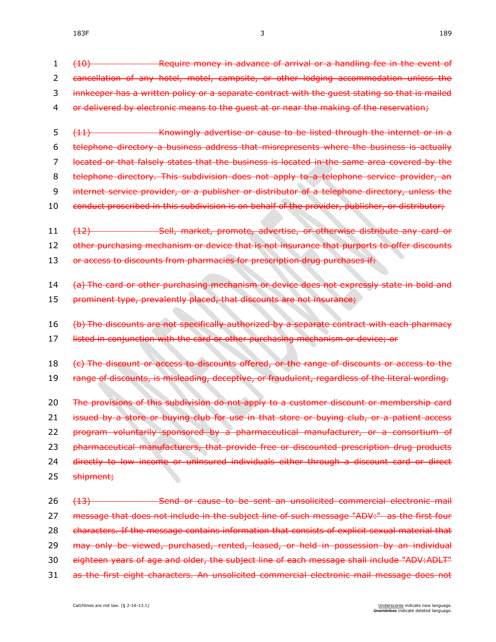| 1  | Require money in advance of arrival or a handling fee in the event of<br><del>(10)</del>        |
|----|-------------------------------------------------------------------------------------------------|
| 2  | cancellation of any hotel, motel, campsite, or other lodging accommodation unless the           |
| 3  | innkeeper has a written policy or a separate contract with the quest stating so that is mailed  |
| 4  | or delivered by electronic means to the guest at or near the making of the reservation;         |
| 5  | Knowingly advertise or cause to be listed through the internet or in a<br>(11)                  |
| 6  | telephone directory a business address that misrepresents where the business is actually        |
| 7  | located or that falsely states that the business is located in the same area covered by the     |
| 8  | telephone directory. This subdivision does not apply to a telephone service provider, an        |
| 9  | internet service provider, or a publisher or distributor of a telephone directory, unless the   |
| 10 | conduct proscribed in this subdivision is on behalf of the provider, publisher, or distributor; |
| 11 | Sell, market, promote, advertise, or otherwise distribute any card or<br><del>(12)</del>        |
| 12 | other purchasing mechanism or device that is not insurance that purports to offer discounts     |
| 13 | or access to discounts from pharmacies for prescription drug purchases if:                      |
| 14 | (a) The card or other purchasing mechanism or device does not expressly state in bold and       |
| 15 | prominent type, prevalently placed, that discounts are not insurance;                           |
| 16 | (b) The discounts are not specifically authorized by a separate contract with each pharmacy     |
| 17 | listed in conjunction with the card or other purchasing mechanism or device; or                 |
| 18 | (c) The discount or access to discounts offered, or the range of discounts or access to the     |
| 19 | range of discounts, is misleading, deceptive, or fraudulent, regardless of the literal wording. |
| 20 | The provisions of this subdivision do not apply to a customer discount or membership card       |
| 21 | issued by a store or buying club for use in that store or buying club, or a patient access      |
| 22 | program voluntarily sponsored by a pharmaceutical manufacturer, or a consortium of              |
| 23 | pharmaceutical manufacturers, that provide free or discounted prescription drug products        |
| 24 | directly to low income or uninsured individuals either through a discount card or direct        |
| 25 | shipment;                                                                                       |
| 26 | Send or cause to be sent an unsolicited commercial electronic mail<br>(13)                      |
| 27 | message that does not include in the subject line of such message "ADV:" as the first four      |
| 28 | characters. If the message contains information that consists of explicit sexual material that  |
| 29 | may only be viewed, purchased, rented, leased, or held in possession by an individual           |
| 30 | eighteen years of age and older, the subject line of each message shall include "ADV:ADLT"      |

31 as the first eight characters. An unsolicited commercial electronic mail message does not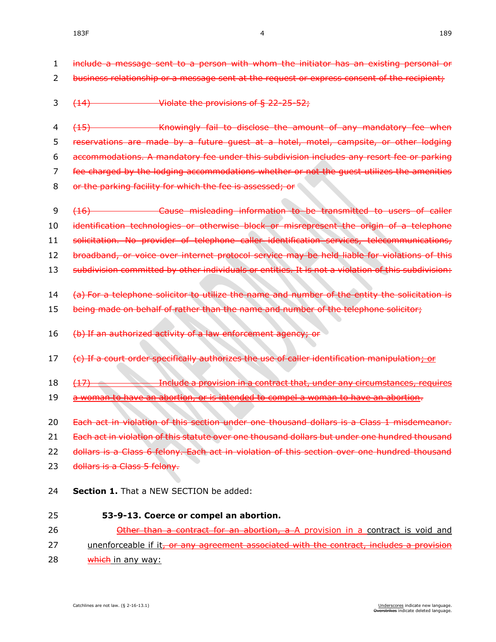- 1 include a message sent to a person with whom the initiator has an existing personal or
- 2 business relationship or a message sent at the request or express consent of the recipient;
- 3 (14) Violate the provisions of § [22-25-52;](https://sdlegislature.gov/Statutes/Codified_Laws/DisplayStatute.aspx?Type=Statute&Statute=22-25-52)
- 4 (15) Knowingly fail to disclose the amount of any mandatory fee when 5 reservations are made by a future guest at a hotel, motel, campsite, or other lodging 6 accommodations. A mandatory fee under this subdivision includes any resort fee or parking 7 fee charged by the lodging accommodations whether or not the guest utilizes the amenities 8 or the parking facility for which the fee is assessed; or
- 9 (16) Cause misleading information to be transmitted to users of caller 10 identification technologies or otherwise block or misrepresent the origin of a telephone 11 solicitation. No provider of telephone caller identification services, telecommunications,
- 
- 12 broadband, or voice over internet protocol service may be held liable for violations of this
- 13 subdivision committed by other individuals or entities. It is not a violation of this subdivision:
- 14 (a) For a telephone solicitor to utilize the name and number of the entity the solicitation is
- 15 being made on behalf of rather than the name and number of the telephone solicitor;
- 16 (b) If an authorized activity of a law enforcement agency; or
- 17 (e) If a court order specifically authorizes the use of caller identification manipulation; or
- 18 (17) Include a provision in a contract that, under any circumstances, requires
- 19 a woman to have an abortion, or is intended to compel a woman to have an abortion.
- 20 Each act in violation of this section under one thousand dollars is a Class 1 misdemeanor.
- 21 Each act in violation of this statute over one thousand dollars but under one hundred thousand
- 22 dollars is a Class 6 felony. Each act in violation of this section over one hundred thousand
- 23 dollars is a Class 5 felony.
- 24 **Section 1.** That a NEW SECTION be added:
- 25 **53-9-13. Coerce or compel an abortion.** 26 **Other than a contract for an abortion, a** A provision in a contract is void and
- 27 unenforceable if it, or any agreement associated with the contract, includes a provision
- 28 which in any way: